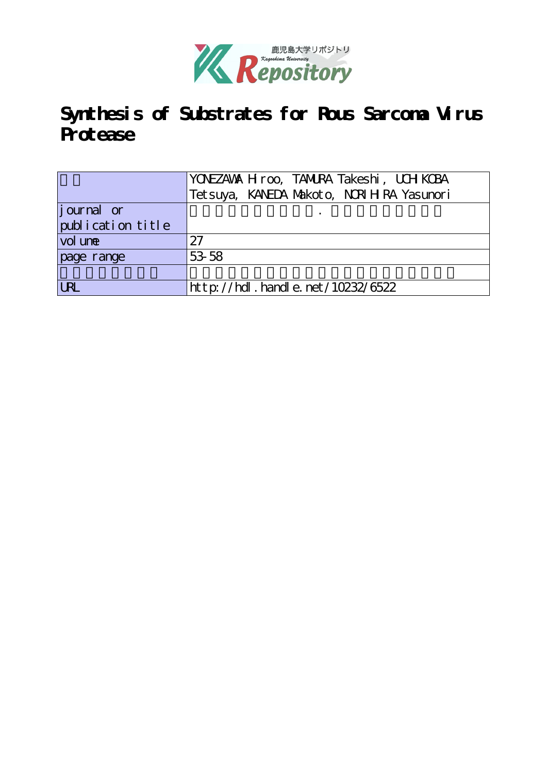

# **Synthesis of Substrates for Rous Sarcoma Virus Protease**

|                   | YONEZAWA H roo, TANURA Takeshi, UCH KCBA    |
|-------------------|---------------------------------------------|
|                   | Tet suya, KANEDA Makoto, NORI H RA Yasunori |
| journal or        |                                             |
| publication title |                                             |
| vol une           | 27                                          |
| page range        | 53 58                                       |
|                   |                                             |
| <b>URL</b>        | http://hdl.handle.net/10232/6522            |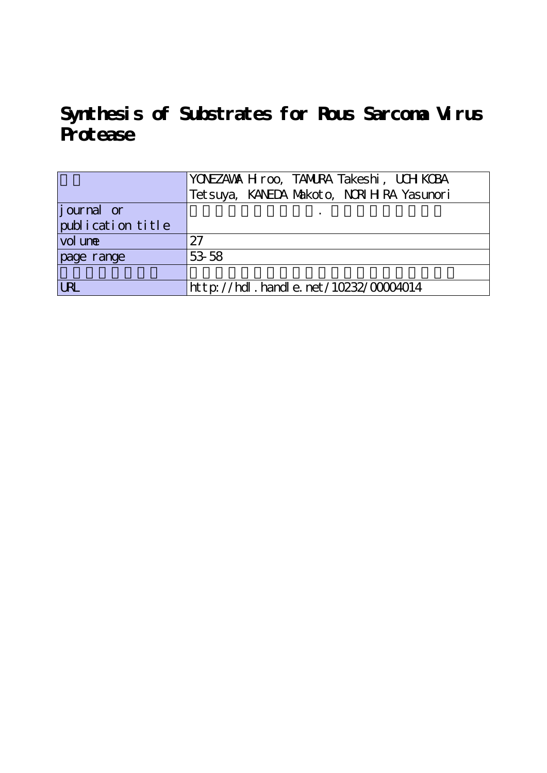**Synthesis of Substrates for Rous Sarcoma Virus Protease**

|                   | YONEZAWA H roo, TANURA Takeshi, UCH KOBA    |
|-------------------|---------------------------------------------|
|                   | Tet suya, KANEDA Makoto, NORI H RA Yasunori |
| journal or        |                                             |
| publication title |                                             |
| vol une           | 27                                          |
| page range        | 53 58                                       |
|                   |                                             |
| <b>LRL</b>        | $http://hdl. handle. net/10232/00004014$    |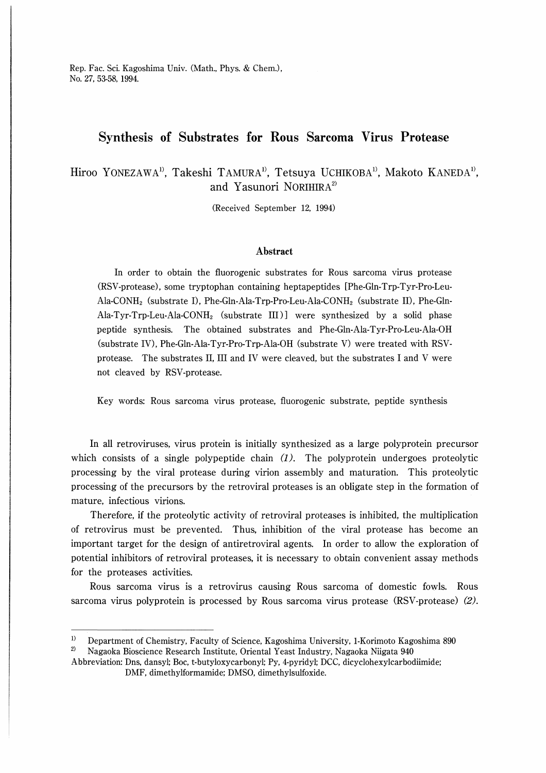Rep. Fac. Sci. Kagoshima Univ. (Math., Phys. & Chem.), No. 27, 53-58, 1994

## Synthesis of Substrates for Rous Sarcoma Virus Protease

## Hiroo YONEZAWA<sup>1</sup>, Takeshi TAMURA<sup>1</sup>, Tetsuya UCHIKOBA<sup>1</sup>, Makoto KANEDA<sup>1</sup>, and Yasunori NORIHIR $A^{2}$

(Received September 12, 1994)

#### Abstract

In order to obtain the fluorogenic substrates for Rous sarcoma virus protease (RSV-protease) , some tryptophan containing heptapeptides [Phe-Gln-Trp-Tyr-Pro-Leu-Ala-CONH2 (substrate I), Phe-Gln-Ala-Trp-Pro-Leu-Ala-CONH2 (substrate II), Phe-Gin-Ala-Tyr-Trp-Leu-Ala-CONH2 (substrate III)] were synthesized by a solid phase peptide synthesis. The obtained substrates and Phe-Gln-Ala-Tyr-Pro-Leu-Ala-OH (substrate IV), Phe-Gln-Ala-Tyr-Pro-Trp-Ala-OH (substrate V) were treated with RSVprotease. The substrates II, III and IV were cleaved, but the substrates I and V were not cleaved by RSV-protease.

Key words: Rous sarcoma virus protease, fluorogenic substrate, peptide synthesis

In all retroviruses, virus protein is initially synthesized as a large polyprotein precursor which consists of a single polypeptide chain  $(1)$ . The polyprotein undergoes proteolytic processing by the viral protease during virion assembly and maturation. This proteolytic processing of the precursors by the retroviral proteases is an obligate step in the formation of mature, infectious virions.

Therefore, if the proteolytic activity of retroviral proteases is inhibited, the multiplication of retrovirus must be prevented. Thus, inhibition of the viral protease has become an important target for the design of antiretroviral agents. In order to allow the exploration of potential inhibitors of retroviral proteases, it is necessary to obtain convenient assay methods for the proteases activities.

Rous sarcoma virus is a retrovirus causing Rous sarcoma of domestic fowls. Rous sarcoma virus polyprotein is processed by Rous sarcoma virus protease (RSV-protease) (2).

 $\overline{1}$ Department of Chemistry, Faculty of Science, Kagoshima University, 1-Korimoto Kagoshima 890

 $\,2)$ Nagaoka Bioscience Research Institute, Oriental Yeast Industry, Nagaoka Niigata 940

Abbreviation: Dns, dansyl; Boc, t-butyloxycarbonyl; Py, 4-pyridyl; DCC, dicyclohexylcarbodiimide; DMF, dimethylformamide; DMSO, dimethylsulfoxide.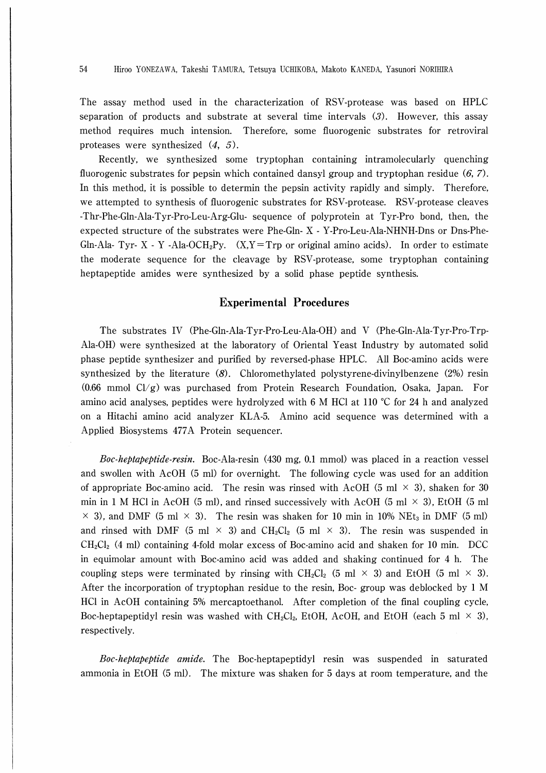The assay method used in the characterization of RSV-protease was based on HPLC separation of products and substrate at several time intervals (3). However, this assay method requires much intension. Therefore, some fluorogenic substrates for retroviral proteases were synthesized (4, 5).

Recently, we synthesized some tryptophan containing intramolecularly quenching fluorogenic substrates for pepsin which contained dansyl group and tryptophan residue  $(6, 7)$ . In this method, it is possible to determin the pepsin activity rapidly and simply. Therefore, we attempted to synthesis of fluorogenic substrates for RSV-protease. RSV-protease cleaves -Thr-Phe-Gln-Ala-Tyr-Pro-Leu-Arg-Glu- sequence of polyprotein at Tyr-Pro bond, then, the expected structure of the substrates were Phe-Gln- X - Y-Pro-Leu-Ala-NHNH-Dns or Dns-Phe-Gln-Ala- Tyr- X - Y -Ala-OCH<sub>2</sub>Py.  $(X, Y = Trp)$  or original amino acids). In order to estimate the moderate sequence for the cleavage by RSV-protease, some tryptophan containing heptapeptide amides were synthesized by a solid phase peptide synthesis.

### Experimental Procedures

The substrates IV (Phe-Gln-Ala-Tyr-Pro-Leu-Ala-OH) and V (Phe-Gln-Ala-Tyr-Pro-Trp-Ala-OH) were synthesized at the laboratory of Oriental Yeast Industry by automated solid phase peptide synthesizer and purified by reversed-phase HPLC. All Boc-amino acids were synthesized by the literature (8). Chloromethylated polystyrene-divinylbenzene (2%) resin  $(0.66 \text{ mmol } \text{Cl/g})$  was purchased from Protein Research Foundation, Osaka, Japan. For amino acid analyses, peptides were hydrolyzed with 6 M HCl at 110  $\degree$ C for 24 h and analyzed on a Hitachi amino acid analyzer KLA-5. Amino acid sequence was determined with a Applied Biosystems 477A Protein sequencer.

Boc-heptapeptide-resin. Boc-Ala-resin (430 mg, 0.1 mmol) was placed in a reaction vessel and swollen with AcOH (5 ml) for overnight. The following cycle was used for an addition of appropriate Boc-amino acid. The resin was rinsed with AcOH (5 ml  $\times$  3), shaken for 30 min in 1 M HCl in AcOH (5 ml), and rinsed successively with AcOH (5 ml  $\times$  3), EtOH (5 ml  $\times$  3), and DMF (5 ml  $\times$  3). The resin was shaken for 10 min in 10% NEt<sub>3</sub> in DMF (5 ml) and rinsed with DMF (5 ml  $\times$  3) and CH<sub>2</sub>Cl<sub>2</sub> (5 ml  $\times$  3). The resin was suspended in  $CH_2Cl_2$  (4 ml) containing 4-fold molar excess of Boc-amino acid and shaken for 10 min. DCC in equimolar amount with Boc-amino acid was added and shaking continued for 4 h. The coupling steps were terminated by rinsing with CH<sub>2</sub>Cl<sub>2</sub> (5 ml  $\times$  3) and EtOH (5 ml  $\times$  3). After the incorporation of tryptophan residue to the resin, Boc- group was deblocked by 1 M HCl in AcOH containing 5% mercaptoethanol. After completion of the final coupling cycle, Boc-heptapeptidyl resin was washed with CH<sub>2</sub>Cl<sub>2</sub>, EtOH, AcOH, and EtOH (each 5 ml  $\times$  3), respectively.

Boc-heptapeptide amide. The Boc-heptapeptidyl resin was suspended in saturated ammonia in EtOH (5 ml). The mixture was shaken for 5 days at room temperature, and the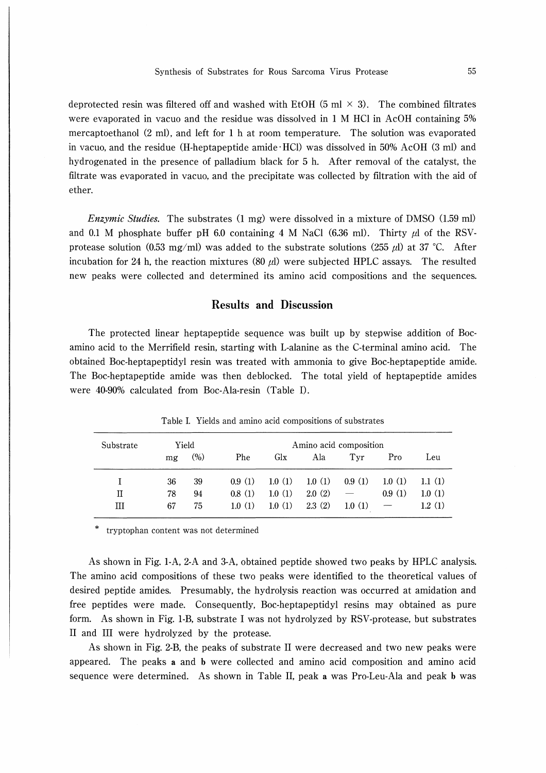deprotected resin was filtered off and washed with EtOH (5 ml  $\times$  3). The combined filtrates were evaporated in vacuo and the residue was dissolved in 1 M HCl in AcOH containing 5% mercaptoethanol (2 ml), and left for 1 h at room temperature. The solution was evaporated in vacuo, and the residue (H-heptapeptide amide HCl) was dissolved in 50% AcOH (3 ml) and hydrogenated in the presence of palladium black for 5 h. After removal of the catalyst, the filtrate was evaporated in vacuo, and the precipitate was collected by filtration with the aid of ether.

Enzymic Studies. The substrates (1 mg) were dissolved in a mixture of DMSO (1.59 ml) and 0.1 M phosphate buffer pH 6.0 containing 4 M NaCl (6.36 ml). Thirty  $\mu$ l of the RSVprotease solution (0.53 mg/ml) was added to the substrate solutions (255  $\mu$ ) at 37 °C. After incubation for 24 h, the reaction mixtures (80  $\mu$ ) were subjected HPLC assays. The resulted new peaks were collected and determined its amino acid compositions and the sequences.

#### Results and Discussion

The protected linear heptapeptide sequence was built up by stepwise addition of Bocammo acid to the Merrifield resin, starting with L-alanine as the C-terminal amino acid. The obtained Boc-heptapeptidyl resin was treated with ammonia to give Boc-heptapeptide amide. The Boc-heptapeptide amide was then deblocked. The total yield of heptapeptide amides were 40-90% calculated from Boc-Ala-resin (Table I).

| Substrate |    | Yield | Amino acid composition |        |        |        |        |        |  |
|-----------|----|-------|------------------------|--------|--------|--------|--------|--------|--|
|           | mg | (%)   | Phe                    | Glx    | Ala    | Tyr    | Pro    | Leu    |  |
|           | 36 | 39    | 0.9(1)                 | 1.0(1) | 1.0(1) | 0.9(1) | 1.0(1) | 1.1(1) |  |
| п         | 78 | 94    | 0.8(1)                 | 1.0(1) | 2.0(2) |        | 0.9(1) | 1.0(1) |  |
| ш         | 67 | 75    | 1.0(1)                 | 1.0(1) | 2.3(2) | 1.0(1) |        | 1.2(1) |  |

Table I. Yields and amino acid compositions of substrates

tryptophan content was not determined

As shown in Fig. 1-A, 2-A and 3-A, obtained peptide showed two peaks by HPLC analysis. The amino acid compositions of these two peaks were identified to the theoretical values of desired peptide amides. Presumably, the hydrolysis reaction was occurred at amidation and free peptides were made. Consequently, Boc-heptapeptidyl resins may obtained as pure form. As shown in Fig. 1-B, substrate I was not hydrolyzed by RSV-protease, but substrates II and III were hydrolyzed by the protease.

As shown in Fig. 2-B, the peaks of substrate II were decreased and two new peaks were appeared. The peaks a and b were collected and amino acid composition and amino acid sequence were determined. As shown in Table II, peak a was Pro-Leu-Ala and peak b was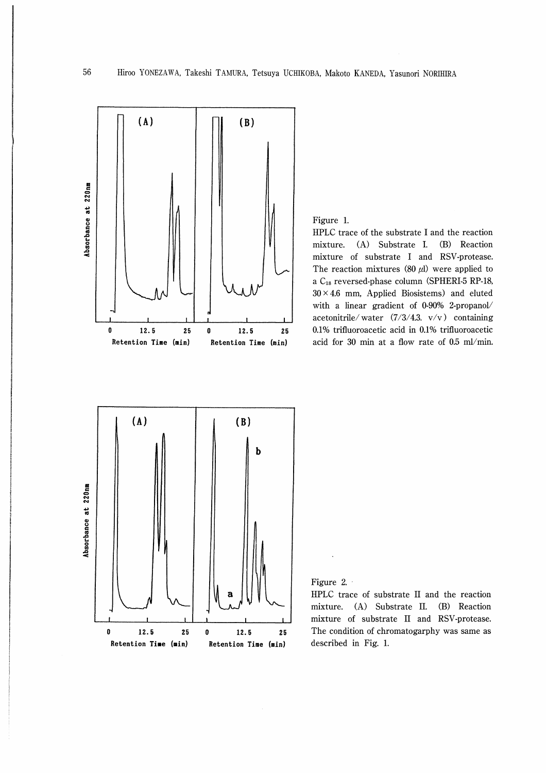

Figure 1.

HPLC trace of the substrate I and the reaction mixture. (A) Substrate I. (B) Reaction mixture of substrate I and RSV-protease. The reaction mixtures (80  $\mu$ l) were applied to a Cis reversed-phase column (SPHERI-5 RP-18,  $30 \times 4.6$  mm, Applied Biosistems) and eluted with a linear gradient of 0-90% 2-propanol/ acetonitrile/water  $(7/3/4.3. \text{v/v})$  containing 0.1% trifluoroacetic acid in 0.1% trifluoroacetic acid for 30 min at a flow rate of  $0.5$  ml/min.



Figure 2∴

HPLC trace of substrate II and the reaction mixture. (A) Substrate II. (B) Reaction mixture of substrate II and RSV-protease. The condition of chromatogarphy was same as described in Fig. 1.

56

妄‥-・tJt.・q†IJ!星F=J巨-い【トビ-′I羊-u▼17・日暮r-貞t一一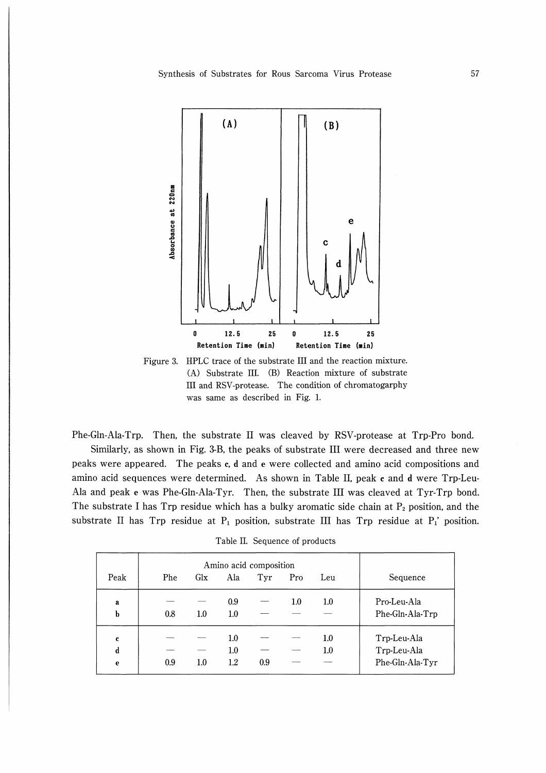

Figure 3. HPLC trace of the substrate III and the reaction mixture. (A) Substrate III. (B) Reaction mixture of substrate Ill and RSV-protease. The condition of chromatogarphy was same as described in Fig. 1.

Phe-Gln-Ala-Trp. Then, the substrate II was cleaved by RSV-protease at Trp-Pro bond. Similarly, as shown in Fig. 3-B, the peaks of substrate III were decreased and three new

peaks were appeared. The peaks c, d and e were collected and amino acid compositions and amino acid sequences were determined. As shown in Table II, peak c and d were Trp-Leu-Ala and peak e was Phe-Gln-Ala-Tyr. Then, the substrate III was cleaved at Tyr-Trp bond. The substrate I has Trp residue which has a bulky aromatic side chain at  $P_2$  position, and the substrate II has Trp residue at  $P_1$  position, substrate III has Trp residue at  $P_1$ ' position.

Table II. Sequence of products

|                                 | Amino acid composition |             |                               |     |         |                    |                                               |
|---------------------------------|------------------------|-------------|-------------------------------|-----|---------|--------------------|-----------------------------------------------|
| Peak                            | Phe                    | Gl <b>x</b> | Ala                           | Tyr | Pro     | Leu                | Sequence                                      |
| a<br>b                          | 0.8                    | 1.0         | 0.9<br>1.0                    |     | $1.0\,$ | $1.0\,$            | Pro-Leu-Ala<br>Phe-Gln-Ala-Trp                |
| $\mathbf c$<br>$\mathbf d$<br>e | 0.9                    | 1.0         | $1.0\,$<br>$1.0\,$<br>$1.2\,$ | 0.9 |         | $1.0\,$<br>$1.0\,$ | Trp-Leu-Ala<br>Trp-Leu-Ala<br>Phe-Gln-Ala-Tyr |